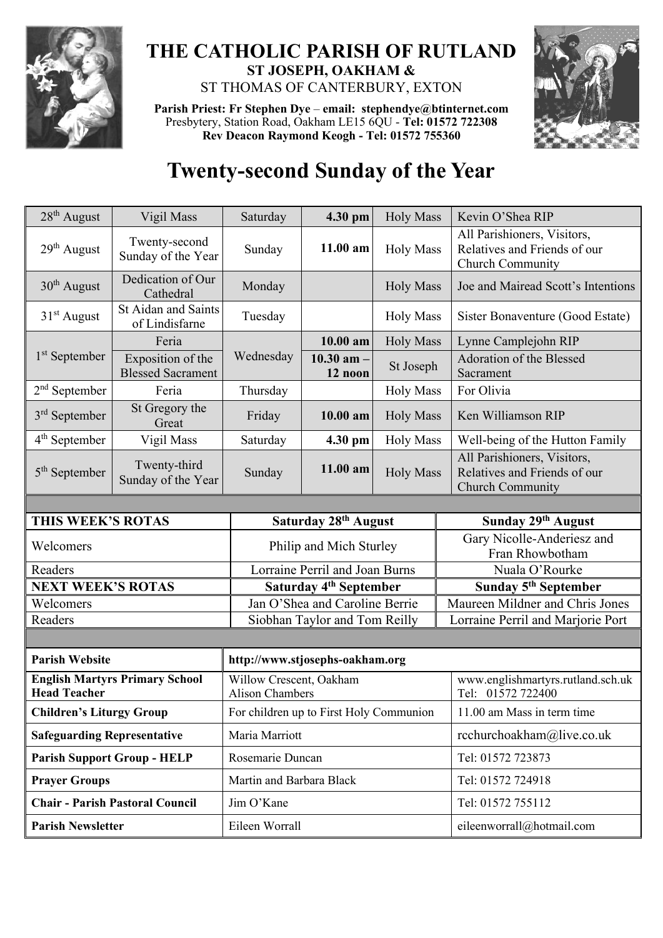

## **THE CATHOLIC PARISH OF RUTLAND ST JOSEPH, OAKHAM &**  ST THOMAS OF CANTERBURY, EXTON

**Parish Priest: Fr Stephen Dye** – **[email: stephendye@btinternet.com](mailto:email:%20%20stephendye@btinternet.com)** Presbytery, Station Road, Oakham LE15 6QU - **Tel: 01572 722308 Rev Deacon Raymond Keogh - Tel: 01572 755360**



## **Twenty-second Sunday of the Year**

| 28 <sup>th</sup> August                                      | Vigil Mass                                    | Saturday                                          | 4.30 pm                         | <b>Holy Mass</b> | Kevin O'Shea RIP                                                                |  |
|--------------------------------------------------------------|-----------------------------------------------|---------------------------------------------------|---------------------------------|------------------|---------------------------------------------------------------------------------|--|
| $29th$ August                                                | Twenty-second<br>Sunday of the Year           | Sunday                                            | 11.00 am                        | <b>Holy Mass</b> | All Parishioners, Visitors,<br>Relatives and Friends of our<br>Church Community |  |
| $30th$ August                                                | Dedication of Our<br>Cathedral                | Monday                                            |                                 | <b>Holy Mass</b> | Joe and Mairead Scott's Intentions                                              |  |
| $31st$ August                                                | <b>St Aidan and Saints</b><br>of Lindisfarne  | Tuesday                                           |                                 | <b>Holy Mass</b> | Sister Bonaventure (Good Estate)                                                |  |
| $1st$ September                                              | Feria                                         | Wednesday                                         | $10.00$ am                      | <b>Holy Mass</b> | Lynne Camplejohn RIP                                                            |  |
|                                                              | Exposition of the<br><b>Blessed Sacrament</b> |                                                   | 10.30 am $-$<br>12 noon         | St Joseph        | Adoration of the Blessed<br>Sacrament                                           |  |
| $2nd$ September                                              | Feria                                         | Thursday                                          |                                 | <b>Holy Mass</b> | For Olivia                                                                      |  |
| $3rd$ September                                              | St Gregory the<br>Great                       | Friday                                            | 10.00 am                        | <b>Holy Mass</b> | Ken Williamson RIP                                                              |  |
| $4th$ September                                              | Vigil Mass                                    | Saturday                                          | 4.30 pm                         | <b>Holy Mass</b> | Well-being of the Hutton Family                                                 |  |
| $5th$ September                                              | Twenty-third<br>Sunday of the Year            | Sunday                                            | 11.00 am                        | <b>Holy Mass</b> | All Parishioners, Visitors,<br>Relatives and Friends of our<br>Church Community |  |
|                                                              |                                               |                                                   |                                 |                  |                                                                                 |  |
| THIS WEEK'S ROTAS                                            |                                               |                                                   | Saturday 28th August            |                  | Sunday 29th August                                                              |  |
| Welcomers                                                    |                                               |                                                   | Philip and Mich Sturley         |                  | Gary Nicolle-Anderiesz and<br>Fran Rhowbotham                                   |  |
| Readers                                                      |                                               | Lorraine Perril and Joan Burns                    |                                 |                  | Nuala O'Rourke                                                                  |  |
| <b>NEXT WEEK'S ROTAS</b>                                     |                                               | Saturday 4 <sup>th</sup> September                |                                 |                  | Sunday 5 <sup>th</sup> September                                                |  |
| Welcomers                                                    |                                               |                                                   | Jan O'Shea and Caroline Berrie  |                  | Maureen Mildner and Chris Jones                                                 |  |
| Readers                                                      |                                               | Siobhan Taylor and Tom Reilly                     |                                 |                  | Lorraine Perril and Marjorie Port                                               |  |
|                                                              |                                               |                                                   |                                 |                  |                                                                                 |  |
| <b>Parish Website</b>                                        |                                               |                                                   | http://www.stjosephs-oakham.org |                  |                                                                                 |  |
| <b>English Martyrs Primary School</b><br><b>Head Teacher</b> |                                               | Willow Crescent, Oakham<br><b>Alison Chambers</b> |                                 |                  | www.englishmartyrs.rutland.sch.uk<br>Tel: 01572 722400                          |  |
| <b>Children's Liturgy Group</b>                              |                                               | For children up to First Holy Communion           |                                 |                  | 11.00 am Mass in term time                                                      |  |
| <b>Safeguarding Representative</b>                           |                                               | Maria Marriott                                    |                                 |                  | rcchurchoakham@live.co.uk                                                       |  |
| <b>Parish Support Group - HELP</b>                           |                                               | Rosemarie Duncan                                  |                                 |                  | Tel: 01572 723873                                                               |  |
| <b>Prayer Groups</b>                                         |                                               | Martin and Barbara Black                          |                                 |                  | Tel: 01572 724918                                                               |  |
| <b>Chair - Parish Pastoral Council</b>                       |                                               | Jim O'Kane                                        |                                 |                  | Tel: 01572 755112                                                               |  |
| <b>Parish Newsletter</b>                                     |                                               | Eileen Worrall                                    |                                 |                  | eileenworrall@hotmail.com                                                       |  |